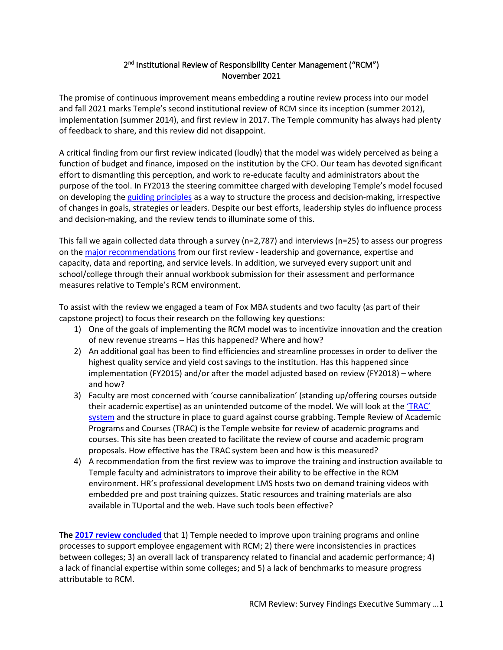# 2<sup>nd</sup> Institutional Review of Responsibility Center Management ("RCM") November 2021

The promise of continuous improvement means embedding a routine review process into our model and fall 2021 marks Temple's second institutional review of RCM since its inception (summer 2012), implementation (summer 2014), and first review in 2017. The Temple community has always had plenty of feedback to share, and this review did not disappoint.

A critical finding from our first review indicated (loudly) that the model was widely perceived as being a function of budget and finance, imposed on the institution by the CFO. Our team has devoted significant effort to dismantling this perception, and work to re-educate faculty and administrators about the purpose of the tool. In FY2013 the steering committee charged with developing Temple's model focused on developing the [guiding principles](https://nam10.safelinks.protection.outlook.com/?url=https%3A%2F%2Ffinance.temple.edu%2Frcm-temple%2Ftemples-guiding-principles&data=04%7C01%7Ckathryn.dangelo%40temple.edu%7C1cca12af0f8f47d9cccb08d982906c6d%7C716e81efb52244738e3110bd02ccf6e5%7C0%7C0%7C637684379069890069%7CUnknown%7CTWFpbGZsb3d8eyJWIjoiMC4wLjAwMDAiLCJQIjoiV2luMzIiLCJBTiI6Ik1haWwiLCJXVCI6Mn0%3D%7C1000&sdata=SPug006juVoTUiKAQUxO82TDWwtSythVOH%2BMsYxNE%2BI%3D&reserved=0) as a way to structure the process and decision-making, irrespective of changes in goals, strategies or leaders. Despite our best efforts, leadership styles do influence process and decision-making, and the review tends to illuminate some of this.

This fall we again collected data through a survey (n=2,787) and interviews (n=25) to assess our progress on th[e major recommendations](https://nam10.safelinks.protection.outlook.com/?url=https%3A%2F%2Ffinance.temple.edu%2Fsites%2Ffinance%2Ffiles%2FFinance%2520Web_RCM%2520Recommendations%2520FY17.pdf&data=04%7C01%7Ckathryn.dangelo%40temple.edu%7C1cca12af0f8f47d9cccb08d982906c6d%7C716e81efb52244738e3110bd02ccf6e5%7C0%7C0%7C637684379069880111%7CUnknown%7CTWFpbGZsb3d8eyJWIjoiMC4wLjAwMDAiLCJQIjoiV2luMzIiLCJBTiI6Ik1haWwiLCJXVCI6Mn0%3D%7C1000&sdata=Ltva07rbTwxe3D5desI2XbKIGPqZWcj5%2BoKSFXClSPg%3D&reserved=0) from our first review - leadership and governance, expertise and capacity, data and reporting, and service levels. In addition, we surveyed every support unit and school/college through their annual workbook submission for their assessment and performance measures relative to Temple's RCM environment.

To assist with the review we engaged a team of Fox MBA students and two faculty (as part of their capstone project) to focus their research on the following key questions:

- 1) One of the goals of implementing the RCM model was to incentivize innovation and the creation of new revenue streams – Has this happened? Where and how?
- 2) An additional goal has been to find efficiencies and streamline processes in order to deliver the highest quality service and yield cost savings to the institution. Has this happened since implementation (FY2015) and/or after the model adjusted based on review (FY2018) – where and how?
- 3) Faculty are most concerned with 'course cannibalization' (standing up/offering courses outside their academic expertise) as an unintended outcome of the model. We will look at the 'TRAC' [system](https://nam10.safelinks.protection.outlook.com/?url=http%3A%2F%2Fwww.temple.edu%2Fprovost%2Faaair%2Facademic-programs%2Findex.html&data=04%7C01%7Ckathryn.dangelo%40temple.edu%7C1cca12af0f8f47d9cccb08d982906c6d%7C716e81efb52244738e3110bd02ccf6e5%7C0%7C0%7C637684379069895048%7CUnknown%7CTWFpbGZsb3d8eyJWIjoiMC4wLjAwMDAiLCJQIjoiV2luMzIiLCJBTiI6Ik1haWwiLCJXVCI6Mn0%3D%7C1000&sdata=YvGqZOm6%2FUA8cEGjEfAjEsLblwsXzHrAMYVRULbIdBU%3D&reserved=0) and the structure in place to guard against course grabbing. Temple Review of Academic Programs and Courses (TRAC) is the Temple website for review of academic programs and courses. This site has been created to facilitate the review of course and academic program proposals. How effective has the TRAC system been and how is this measured?
- 4) A recommendation from the first review was to improve the training and instruction available to Temple faculty and administrators to improve their ability to be effective in the RCM environment. HR's professional development LMS hosts two on demand training videos with embedded pre and post training quizzes. Static resources and training materials are also available in TUportal and the web. Have such tools been effective?

**The 2017 [review concluded](https://finance.temple.edu/sites/finance/files/RCM%20Review%20white%20paper%20draft%2011062017.pdf)** that 1) Temple needed to improve upon training programs and online processes to support employee engagement with RCM; 2) there were inconsistencies in practices between colleges; 3) an overall lack of transparency related to financial and academic performance; 4) a lack of financial expertise within some colleges; and 5) a lack of benchmarks to measure progress attributable to RCM.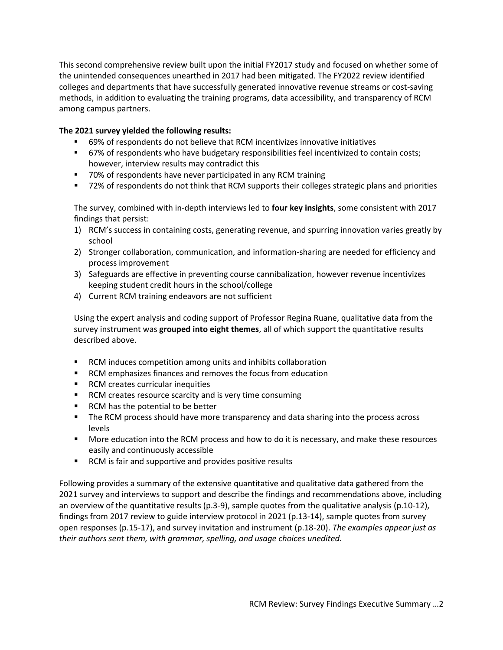This second comprehensive review built upon the initial FY2017 study and focused on whether some of the unintended consequences unearthed in 2017 had been mitigated. The FY2022 review identified colleges and departments that have successfully generated innovative revenue streams or cost-saving methods, in addition to evaluating the training programs, data accessibility, and transparency of RCM among campus partners.

## **The 2021 survey yielded the following results:**

- 69% of respondents do not believe that RCM incentivizes innovative initiatives
- **67%** of respondents who have budgetary responsibilities feel incentivized to contain costs; however, interview results may contradict this
- 70% of respondents have never participated in any RCM training
- 72% of respondents do not think that RCM supports their colleges strategic plans and priorities

The survey, combined with in-depth interviews led to **four key insights**, some consistent with 2017 findings that persist:

- 1) RCM's success in containing costs, generating revenue, and spurring innovation varies greatly by school
- 2) Stronger collaboration, communication, and information-sharing are needed for efficiency and process improvement
- 3) Safeguards are effective in preventing course cannibalization, however revenue incentivizes keeping student credit hours in the school/college
- 4) Current RCM training endeavors are not sufficient

Using the expert analysis and coding support of Professor Regina Ruane, qualitative data from the survey instrument was **grouped into eight themes**, all of which support the quantitative results described above.

- RCM induces competition among units and inhibits collaboration
- RCM emphasizes finances and removes the focus from education
- **RCM** creates curricular inequities
- **RCM creates resource scarcity and is very time consuming**
- RCM has the potential to be better
- **The RCM process should have more transparency and data sharing into the process across** levels
- More education into the RCM process and how to do it is necessary, and make these resources easily and continuously accessible
- **RCM** is fair and supportive and provides positive results

Following provides a summary of the extensive quantitative and qualitative data gathered from the 2021 survey and interviews to support and describe the findings and recommendations above, including an overview of the quantitative results (p.3-9), sample quotes from the qualitative analysis (p.10-12), findings from 2017 review to guide interview protocol in 2021 (p.13-14), sample quotes from survey open responses (p.15-17), and survey invitation and instrument (p.18-20). *The examples appear just as their authors sent them, with grammar, spelling, and usage choices unedited.*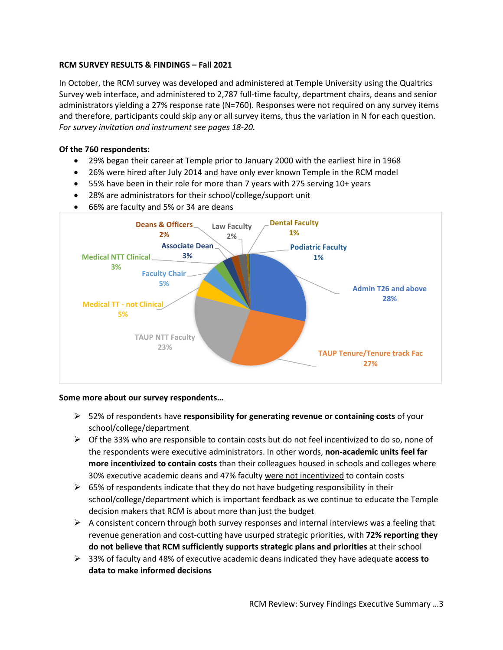## **RCM SURVEY RESULTS & FINDINGS – Fall 2021**

In October, the RCM survey was developed and administered at Temple University using the Qualtrics Survey web interface, and administered to 2,787 full-time faculty, department chairs, deans and senior administrators yielding a 27% response rate (N=760). Responses were not required on any survey items and therefore, participants could skip any or all survey items, thus the variation in N for each question. *For survey invitation and instrument see pages 18-20.*

## **Of the 760 respondents:**

- 29% began their career at Temple prior to January 2000 with the earliest hire in 1968
- 26% were hired after July 2014 and have only ever known Temple in the RCM model
- 55% have been in their role for more than 7 years with 275 serving 10+ years
- 28% are administrators for their school/college/support unit
- 66% are faculty and 5% or 34 are deans



### **Some more about our survey respondents…**

- 52% of respondents have **responsibility for generating revenue or containing costs** of your school/college/department
- $\triangleright$  Of the 33% who are responsible to contain costs but do not feel incentivized to do so, none of the respondents were executive administrators. In other words, **non-academic units feel far more incentivized to contain costs** than their colleagues housed in schools and colleges where 30% executive academic deans and 47% faculty were not incentivized to contain costs
- $\triangleright$  65% of respondents indicate that they do not have budgeting responsibility in their school/college/department which is important feedback as we continue to educate the Temple decision makers that RCM is about more than just the budget
- $\triangleright$  A consistent concern through both survey responses and internal interviews was a feeling that revenue generation and cost-cutting have usurped strategic priorities, with **72% reporting they do not believe that RCM sufficiently supports strategic plans and priorities** at their school
- 33% of faculty and 48% of executive academic deans indicated they have adequate **access to data to make informed decisions**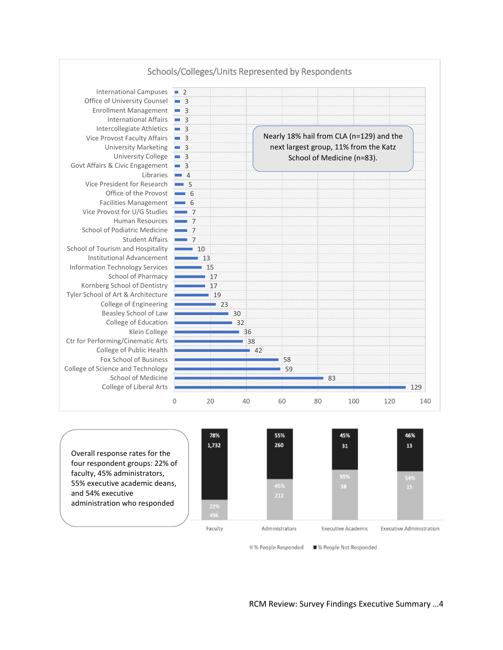

Overall response rates for the four respondent groups: 22% of faculty, 45% administrators, 55% executive academic deans, and 54% executive administration who responded



■% People Responded ■% People Not Responded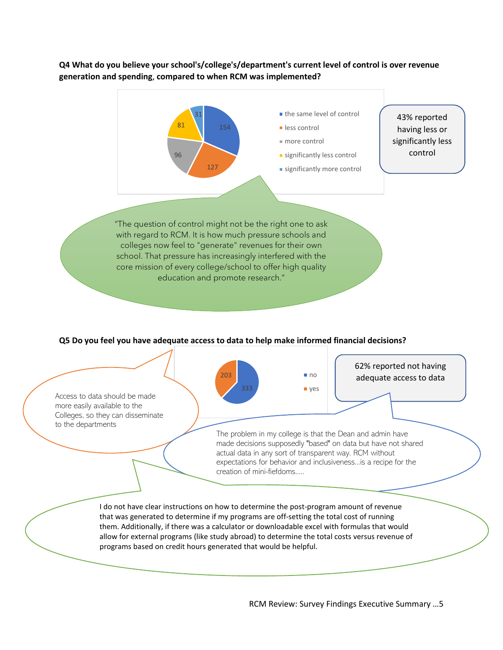**Q4 What do you believe your school's/college's/department's current level of control is over revenue generation and spending**, **compared to when RCM was implemented?**



### **Q5 Do you feel you have adequate access to data to help make informed financial decisions?**



RCM Review: Survey Findings Executive Summary …5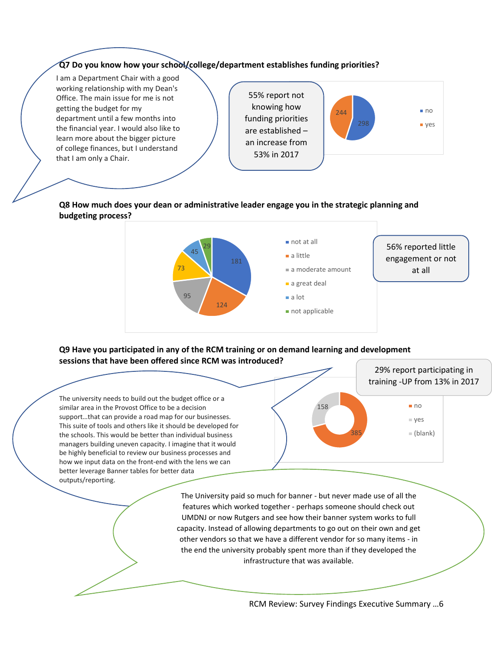# **Q7 Do you know how your school/college/department establishes funding priorities?**

I am a Department Chair with a good working relationship with my Dean's Office. The main issue for me is not getting the budget for my department until a few months into the financial year. I would also like to learn more about the bigger picture of college finances, but I understand that I am only a Chair.

55% report not knowing how funding priorities are established – an increase from 53% in 2017



### **Q8 How much does your dean or administrative leader engage you in the strategic planning and budgeting process?**



### **Q9 Have you participated in any of the RCM training or on demand learning and development sessions that have been offered since RCM was introduced?**



The University paid so much for banner - but never made use of all the features which worked together - perhaps someone should check out UMDNJ or now Rutgers and see how their banner system works to full capacity. Instead of allowing departments to go out on their own and get other vendors so that we have a different vendor for so many items - in the end the university probably spent more than if they developed the infrastructure that was available.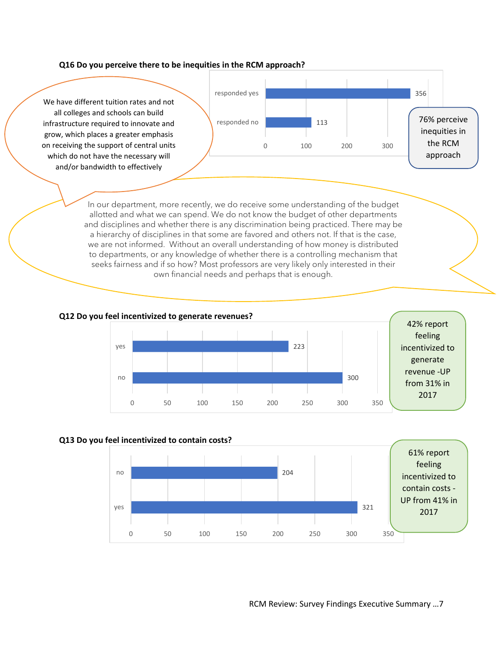#### **Q16 Do you perceive there to be inequities in the RCM approach?**



allotted and what we can spend. We do not know the budget of other departments and disciplines and whether there is any discrimination being practiced. There may be a hierarchy of disciplines in that some are favored and others not. If that is the case, we are not informed. Without an overall understanding of how money is distributed to departments, or any knowledge of whether there is a controlling mechanism that seeks fairness and if so how? Most professors are very likely only interested in their own financial needs and perhaps that is enough.

#### **Q12 Do you feel incentivized to generate revenues?**



#### **Q13 Do you feel incentivized to contain costs?**

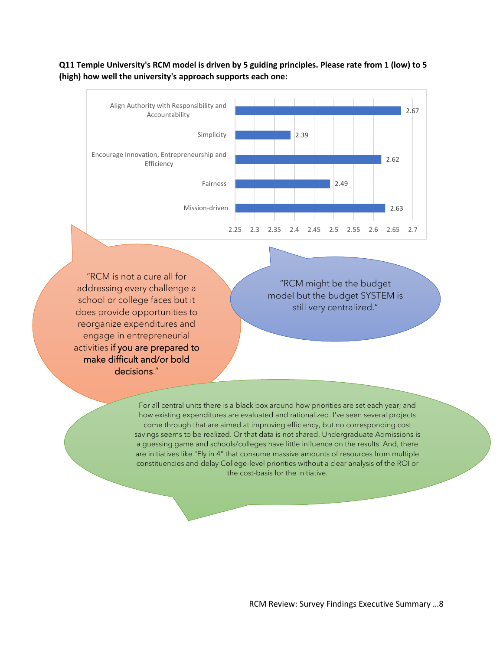# **Q11 Temple University's RCM model is driven by 5 guiding principles. Please rate from 1 (low) to 5 (high) how well the university's approach supports each one:**



"RCM is not a cure all for addressing every challenge a school or college faces but it does provide opportunities to reorganize expenditures and engage in entrepreneurial activities if you are prepared to make difficult and/or bold decisions."

"RCM might be the budget model but the budget SYSTEM is still very centralized."

For all central units there is a black box around how priorities are set each year; and how existing expenditures are evaluated and rationalized. I've seen several projects come through that are aimed at improving efficiency, but no corresponding cost savings seems to be realized. Or that data is not shared. Undergraduate Admissions is a guessing game and schools/colleges have little influence on the results. And, there are initiatives like "Fly in 4" that consume massive amounts of resources from multiple constituencies and delay College-level priorities without a clear analysis of the ROI or the cost-basis for the initiative.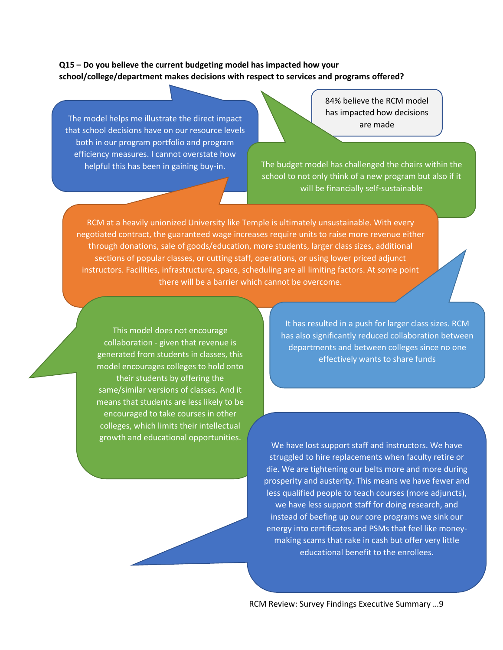## **Q15 – Do you believe the current budgeting model has impacted how your school/college/department makes decisions with respect to services and programs offered?**

The model helps me illustrate the direct impact<br>are made that school decisions have on our resource levels both in our program portfolio and program efficiency measures. I cannot overstate how

84% believe the RCM model has impacted how decisions

helpful this has been in gaining buy-in. The budget model has challenged the chairs within the school to not only think of a new program but also if it will be financially self-sustainable

RCM at a heavily unionized University like Temple is ultimately unsustainable. With every negotiated contract, the guaranteed wage increases require units to raise more revenue either through donations, sale of goods/education, more students, larger class sizes, additional sections of popular classes, or cutting staff, operations, or using lower priced adjunct instructors. Facilities, infrastructure, space, scheduling are all limiting factors. At some point there will be a barrier which cannot be overcome.

This model does not encourage collaboration - given that revenue is generated from students in classes, this model encourages colleges to hold onto their students by offering the same/similar versions of classes. And it means that students are less likely to be encouraged to take courses in other colleges, which limits their intellectual

It has resulted in a push for larger class sizes. RCM has also significantly reduced collaboration between departments and between colleges since no one effectively wants to share funds

growth and educational opportunities. We have lost support staff and instructors. We have struggled to hire replacements when faculty retire or die. We are tightening our belts more and more during prosperity and austerity. This means we have fewer and less qualified people to teach courses (more adjuncts), we have less support staff for doing research, and instead of beefing up our core programs we sink our energy into certificates and PSMs that feel like moneymaking scams that rake in cash but offer very little educational benefit to the enrollees.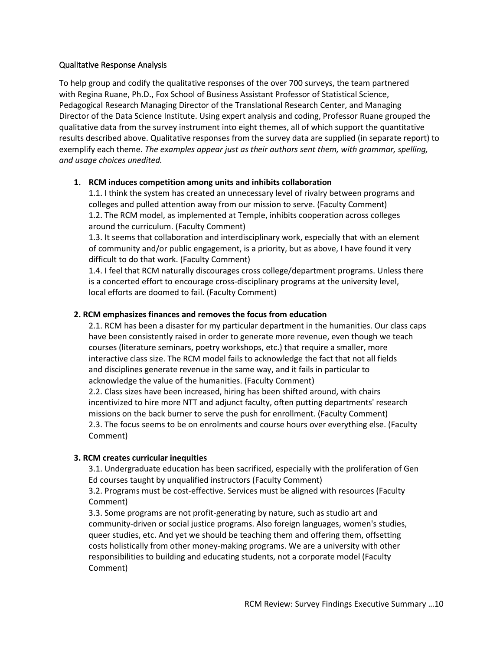## Qualitative Response Analysis

To help group and codify the qualitative responses of the over 700 surveys, the team partnered with Regina Ruane, Ph.D., Fox School of Business Assistant Professor of Statistical Science, Pedagogical Research Managing Director of the Translational Research Center, and Managing Director of the Data Science Institute. Using expert analysis and coding, Professor Ruane grouped the qualitative data from the survey instrument into eight themes, all of which support the quantitative results described above. Qualitative responses from the survey data are supplied (in separate report) to exemplify each theme. *The examples appear just as their authors sent them, with grammar, spelling, and usage choices unedited.*

## **1. RCM induces competition among units and inhibits collaboration**

1.1. I think the system has created an unnecessary level of rivalry between programs and colleges and pulled attention away from our mission to serve. (Faculty Comment) 1.2. The RCM model, as implemented at Temple, inhibits cooperation across colleges around the curriculum. (Faculty Comment)

1.3. It seems that collaboration and interdisciplinary work, especially that with an element of community and/or public engagement, is a priority, but as above, I have found it very difficult to do that work. (Faculty Comment)

1.4. I feel that RCM naturally discourages cross college/department programs. Unless there is a concerted effort to encourage cross-disciplinary programs at the university level, local efforts are doomed to fail. (Faculty Comment)

## **2. RCM emphasizes finances and removes the focus from education**

2.1. RCM has been a disaster for my particular department in the humanities. Our class caps have been consistently raised in order to generate more revenue, even though we teach courses (literature seminars, poetry workshops, etc.) that require a smaller, more interactive class size. The RCM model fails to acknowledge the fact that not all fields and disciplines generate revenue in the same way, and it fails in particular to acknowledge the value of the humanities. (Faculty Comment)

2.2. Class sizes have been increased, hiring has been shifted around, with chairs incentivized to hire more NTT and adjunct faculty, often putting departments' research missions on the back burner to serve the push for enrollment. (Faculty Comment) 2.3. The focus seems to be on enrolments and course hours over everything else. (Faculty Comment)

# **3. RCM creates curricular inequities**

3.1. Undergraduate education has been sacrificed, especially with the proliferation of Gen Ed courses taught by unqualified instructors (Faculty Comment)

3.2. Programs must be cost-effective. Services must be aligned with resources (Faculty Comment)

3.3. Some programs are not profit-generating by nature, such as studio art and community-driven or social justice programs. Also foreign languages, women's studies, queer studies, etc. And yet we should be teaching them and offering them, offsetting costs holistically from other money-making programs. We are a university with other responsibilities to building and educating students, not a corporate model (Faculty Comment)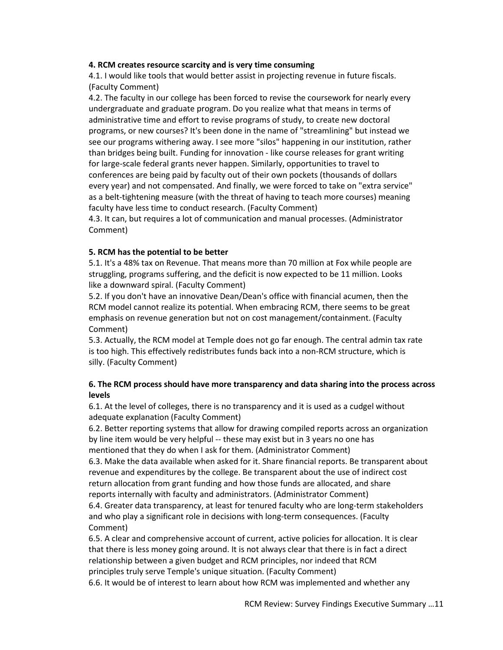### **4. RCM creates resource scarcity and is very time consuming**

4.1. I would like tools that would better assist in projecting revenue in future fiscals. (Faculty Comment)

4.2. The faculty in our college has been forced to revise the coursework for nearly every undergraduate and graduate program. Do you realize what that means in terms of administrative time and effort to revise programs of study, to create new doctoral programs, or new courses? It's been done in the name of "streamlining" but instead we see our programs withering away. I see more "silos" happening in our institution, rather than bridges being built. Funding for innovation - like course releases for grant writing for large-scale federal grants never happen. Similarly, opportunities to travel to conferences are being paid by faculty out of their own pockets (thousands of dollars every year) and not compensated. And finally, we were forced to take on "extra service" as a belt-tightening measure (with the threat of having to teach more courses) meaning faculty have less time to conduct research. (Faculty Comment)

4.3. It can, but requires a lot of communication and manual processes. (Administrator Comment)

#### **5. RCM has the potential to be better**

5.1. It's a 48% tax on Revenue. That means more than 70 million at Fox while people are struggling, programs suffering, and the deficit is now expected to be 11 million. Looks like a downward spiral. (Faculty Comment)

5.2. If you don't have an innovative Dean/Dean's office with financial acumen, then the RCM model cannot realize its potential. When embracing RCM, there seems to be great emphasis on revenue generation but not on cost management/containment. (Faculty Comment)

5.3. Actually, the RCM model at Temple does not go far enough. The central admin tax rate is too high. This effectively redistributes funds back into a non-RCM structure, which is silly. (Faculty Comment)

### **6. The RCM process should have more transparency and data sharing into the process across levels**

6.1. At the level of colleges, there is no transparency and it is used as a cudgel without adequate explanation (Faculty Comment)

6.2. Better reporting systems that allow for drawing compiled reports across an organization by line item would be very helpful -- these may exist but in 3 years no one has mentioned that they do when I ask for them. (Administrator Comment)

6.3. Make the data available when asked for it. Share financial reports. Be transparent about revenue and expenditures by the college. Be transparent about the use of indirect cost return allocation from grant funding and how those funds are allocated, and share reports internally with faculty and administrators. (Administrator Comment)

6.4. Greater data transparency, at least for tenured faculty who are long-term stakeholders and who play a significant role in decisions with long-term consequences. (Faculty Comment)

6.5. A clear and comprehensive account of current, active policies for allocation. It is clear that there is less money going around. It is not always clear that there is in fact a direct relationship between a given budget and RCM principles, nor indeed that RCM principles truly serve Temple's unique situation. (Faculty Comment)

6.6. It would be of interest to learn about how RCM was implemented and whether any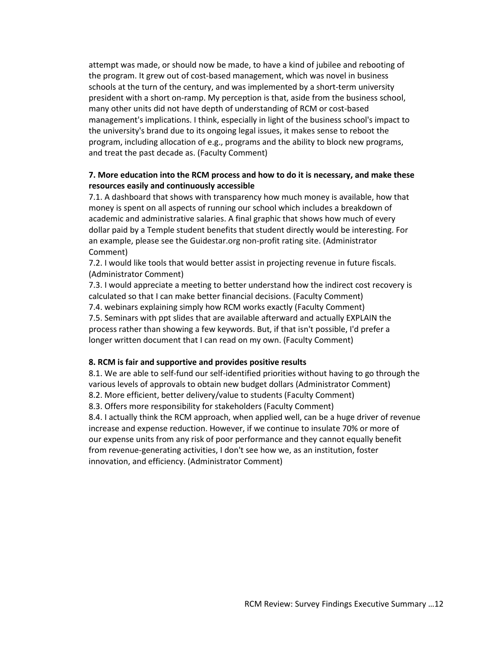attempt was made, or should now be made, to have a kind of jubilee and rebooting of the program. It grew out of cost-based management, which was novel in business schools at the turn of the century, and was implemented by a short-term university president with a short on-ramp. My perception is that, aside from the business school, many other units did not have depth of understanding of RCM or cost-based management's implications. I think, especially in light of the business school's impact to the university's brand due to its ongoing legal issues, it makes sense to reboot the program, including allocation of e.g., programs and the ability to block new programs, and treat the past decade as. (Faculty Comment)

### **7. More education into the RCM process and how to do it is necessary, and make these resources easily and continuously accessible**

7.1. A dashboard that shows with transparency how much money is available, how that money is spent on all aspects of running our school which includes a breakdown of academic and administrative salaries. A final graphic that shows how much of every dollar paid by a Temple student benefits that student directly would be interesting. For an example, please see the Guidestar.org non-profit rating site. (Administrator Comment)

7.2. I would like tools that would better assist in projecting revenue in future fiscals. (Administrator Comment)

7.3. I would appreciate a meeting to better understand how the indirect cost recovery is calculated so that I can make better financial decisions. (Faculty Comment) 7.4. webinars explaining simply how RCM works exactly (Faculty Comment) 7.5. Seminars with ppt slides that are available afterward and actually EXPLAIN the process rather than showing a few keywords. But, if that isn't possible, I'd prefer a longer written document that I can read on my own. (Faculty Comment)

#### **8. RCM is fair and supportive and provides positive results**

8.1. We are able to self-fund our self-identified priorities without having to go through the various levels of approvals to obtain new budget dollars (Administrator Comment) 8.2. More efficient, better delivery/value to students (Faculty Comment) 8.3. Offers more responsibility for stakeholders (Faculty Comment) 8.4. I actually think the RCM approach, when applied well, can be a huge driver of revenue

increase and expense reduction. However, if we continue to insulate 70% or more of our expense units from any risk of poor performance and they cannot equally benefit from revenue-generating activities, I don't see how we, as an institution, foster innovation, and efficiency. (Administrator Comment)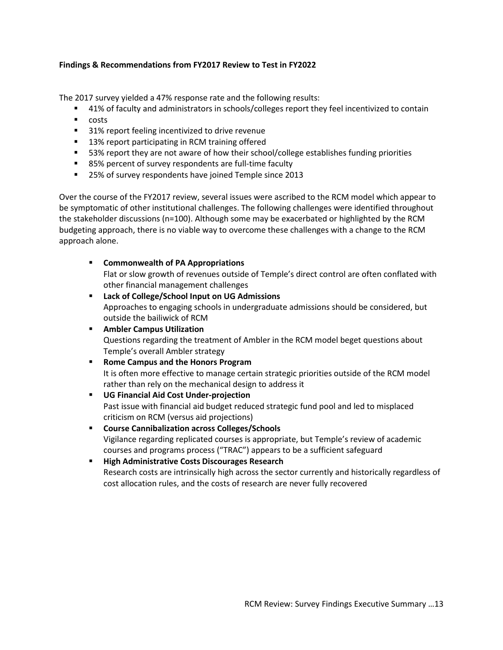## **Findings & Recommendations from FY2017 Review to Test in FY2022**

The 2017 survey yielded a 47% response rate and the following results:

- <sup>41%</sup> of faculty and administrators in schools/colleges report they feel incentivized to contain
- $\blacksquare$  costs
- 31% report feeling incentivized to drive revenue
- 13% report participating in RCM training offered
- 53% report they are not aware of how their school/college establishes funding priorities
- 85% percent of survey respondents are full-time faculty
- 25% of survey respondents have joined Temple since 2013

Over the course of the FY2017 review, several issues were ascribed to the RCM model which appear to be symptomatic of other institutional challenges. The following challenges were identified throughout the stakeholder discussions (n=100). Although some may be exacerbated or highlighted by the RCM budgeting approach, there is no viable way to overcome these challenges with a change to the RCM approach alone.

**Commonwealth of PA Appropriations**

Flat or slow growth of revenues outside of Temple's direct control are often conflated with other financial management challenges

- **Lack of College/School Input on UG Admissions** Approaches to engaging schools in undergraduate admissions should be considered, but outside the bailiwick of RCM
- **Ambler Campus Utilization** Questions regarding the treatment of Ambler in the RCM model beget questions about Temple's overall Ambler strategy
- **Rome Campus and the Honors Program** It is often more effective to manage certain strategic priorities outside of the RCM model rather than rely on the mechanical design to address it
- **UG Financial Aid Cost Under-projection**  Past issue with financial aid budget reduced strategic fund pool and led to misplaced criticism on RCM (versus aid projections)
- **Course Cannibalization across Colleges/Schools** Vigilance regarding replicated courses is appropriate, but Temple's review of academic courses and programs process ("TRAC") appears to be a sufficient safeguard
- **High Administrative Costs Discourages Research** Research costs are intrinsically high across the sector currently and historically regardless of cost allocation rules, and the costs of research are never fully recovered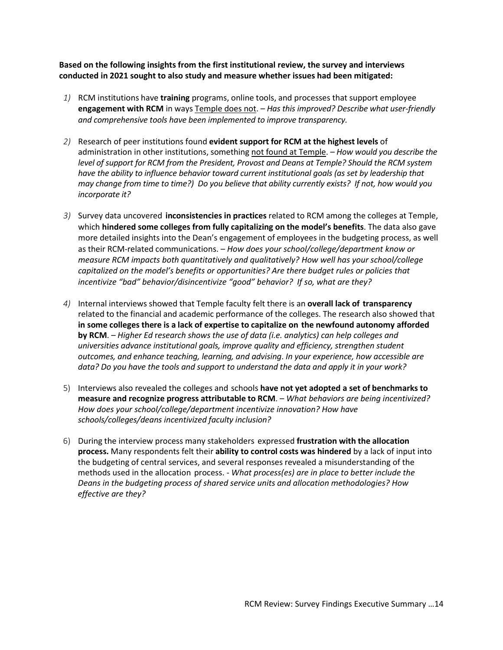**Based on the following insights from the first institutional review, the survey and interviews conducted in 2021 sought to also study and measure whether issues had been mitigated:**

- *1)* RCM institutions have **training** programs, online tools, and processes that support employee **engagement with RCM** in ways Temple does not. – *Has this improved? Describe what user-friendly and comprehensive tools have been implemented to improve transparency.*
- *2)* Research of peer institutions found **evident support for RCM at the highest levels** of administration in other institutions, something not found at Temple. – *How would you describe the level of support for RCM from the President, Provost and Deans at Temple? Should the RCM system have the ability to influence behavior toward current institutional goals (as set by leadership that may change from time to time?) Do you believe that ability currently exists? If not, how would you incorporate it?*
- *3)* Survey data uncovered **inconsistencies in practices** related to RCM among the colleges at Temple, which **hindered some colleges from fully capitalizing on the model's benefits**. The data also gave more detailed insights into the Dean's engagement of employees in the budgeting process, as well as their RCM-related communications. – *How does your school/college/department know or measure RCM impacts both quantitatively and qualitatively? How well has your school/college capitalized on the model's benefits or opportunities? Are there budget rules or policies that incentivize "bad" behavior/disincentivize "good" behavior? If so, what are they?*
- *4)* Internal interviews showed that Temple faculty felt there is an **overall lack of transparency** related to the financial and academic performance of the colleges. The research also showed that **in some colleges there is a lack of expertise to capitalize on the newfound autonomy afforded by RCM**. – *Higher Ed* r*esearch shows the use of data (i.e. analytics) can help colleges and universities advance institutional goals, improve quality and efficiency, strengthen student outcomes, and enhance teaching, learning, and advising*. *In your experience, how accessible are data? Do you have the tools and support to understand the data and apply it in your work?*
- 5) Interviews also revealed the colleges and schools **have not yet adopted a set of benchmarks to measure and recognize progress attributable to RCM**. – *What behaviors are being incentivized? How does your school/college/department incentivize innovation? How have schools/colleges/deans incentivized faculty inclusion?*
- 6) During the interview process many stakeholders expressed **frustration with the allocation process.** Many respondents felt their **ability to control costs was hindered** by a lack of input into the budgeting of central services, and several responses revealed a misunderstanding of the methods used in the allocation process. - *What process(es) are in place to better include the Deans in the budgeting process of shared service units and allocation methodologies? How effective are they?*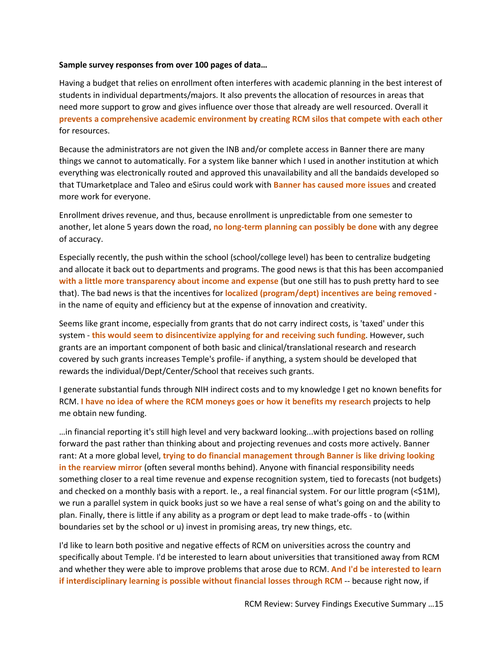#### **Sample survey responses from over 100 pages of data…**

Having a budget that relies on enrollment often interferes with academic planning in the best interest of students in individual departments/majors. It also prevents the allocation of resources in areas that need more support to grow and gives influence over those that already are well resourced. Overall it **prevents a comprehensive academic environment by creating RCM silos that compete with each other** for resources.

Because the administrators are not given the INB and/or complete access in Banner there are many things we cannot to automatically. For a system like banner which I used in another institution at which everything was electronically routed and approved this unavailability and all the bandaids developed so that TUmarketplace and Taleo and eSirus could work with **Banner has caused more issues** and created more work for everyone.

Enrollment drives revenue, and thus, because enrollment is unpredictable from one semester to another, let alone 5 years down the road, **no long-term planning can possibly be done** with any degree of accuracy.

Especially recently, the push within the school (school/college level) has been to centralize budgeting and allocate it back out to departments and programs. The good news is that this has been accompanied **with a little more transparency about income and expense** (but one still has to push pretty hard to see that). The bad news is that the incentives for **localized (program/dept) incentives are being removed** in the name of equity and efficiency but at the expense of innovation and creativity.

Seems like grant income, especially from grants that do not carry indirect costs, is 'taxed' under this system - **this would seem to disincentivize applying for and receiving such funding**. However, such grants are an important component of both basic and clinical/translational research and research covered by such grants increases Temple's profile- if anything, a system should be developed that rewards the individual/Dept/Center/School that receives such grants.

I generate substantial funds through NIH indirect costs and to my knowledge I get no known benefits for RCM. **I have no idea of where the RCM moneys goes or how it benefits my research** projects to help me obtain new funding.

…in financial reporting it's still high level and very backward looking...with projections based on rolling forward the past rather than thinking about and projecting revenues and costs more actively. Banner rant: At a more global level, **trying to do financial management through Banner is like driving looking in the rearview mirror** (often several months behind). Anyone with financial responsibility needs something closer to a real time revenue and expense recognition system, tied to forecasts (not budgets) and checked on a monthly basis with a report. Ie., a real financial system. For our little program (<\$1M), we run a parallel system in quick books just so we have a real sense of what's going on and the ability to plan. Finally, there is little if any ability as a program or dept lead to make trade-offs - to (within boundaries set by the school or u) invest in promising areas, try new things, etc.

I'd like to learn both positive and negative effects of RCM on universities across the country and specifically about Temple. I'd be interested to learn about universities that transitioned away from RCM and whether they were able to improve problems that arose due to RCM. **And I'd be interested to learn if interdisciplinary learning is possible without financial losses through RCM** -- because right now, if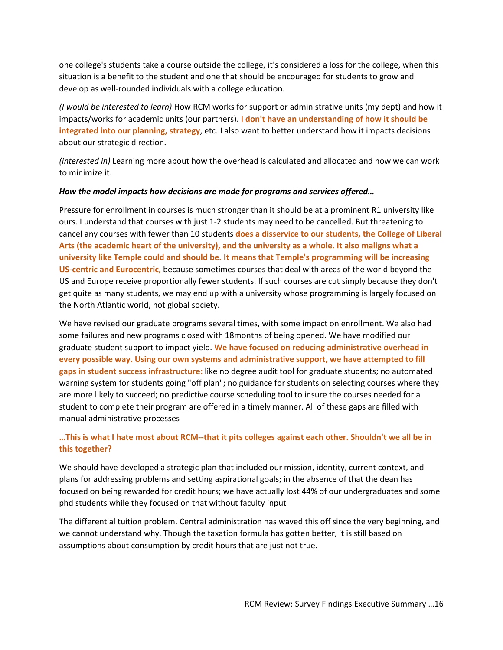one college's students take a course outside the college, it's considered a loss for the college, when this situation is a benefit to the student and one that should be encouraged for students to grow and develop as well-rounded individuals with a college education.

*(I would be interested to learn)* How RCM works for support or administrative units (my dept) and how it impacts/works for academic units (our partners). **I don't have an understanding of how it should be integrated into our planning, strategy**, etc. I also want to better understand how it impacts decisions about our strategic direction.

*(interested in)* Learning more about how the overhead is calculated and allocated and how we can work to minimize it.

### *How the model impacts how decisions are made for programs and services offered…*

Pressure for enrollment in courses is much stronger than it should be at a prominent R1 university like ours. I understand that courses with just 1-2 students may need to be cancelled. But threatening to cancel any courses with fewer than 10 students **does a disservice to our students, the College of Liberal Arts (the academic heart of the university), and the university as a whole. It also maligns what a university like Temple could and should be. It means that Temple's programming will be increasing US-centric and Eurocentric,** because sometimes courses that deal with areas of the world beyond the US and Europe receive proportionally fewer students. If such courses are cut simply because they don't get quite as many students, we may end up with a university whose programming is largely focused on the North Atlantic world, not global society.

We have revised our graduate programs several times, with some impact on enrollment. We also had some failures and new programs closed with 18months of being opened. We have modified our graduate student support to impact yield. **We have focused on reducing administrative overhead in every possible way. Using our own systems and administrative support, we have attempted to fill gaps in student success infrastructure:** like no degree audit tool for graduate students; no automated warning system for students going "off plan"; no guidance for students on selecting courses where they are more likely to succeed; no predictive course scheduling tool to insure the courses needed for a student to complete their program are offered in a timely manner. All of these gaps are filled with manual administrative processes

# **…This is what I hate most about RCM--that it pits colleges against each other. Shouldn't we all be in this together?**

We should have developed a strategic plan that included our mission, identity, current context, and plans for addressing problems and setting aspirational goals; in the absence of that the dean has focused on being rewarded for credit hours; we have actually lost 44% of our undergraduates and some phd students while they focused on that without faculty input

The differential tuition problem. Central administration has waved this off since the very beginning, and we cannot understand why. Though the taxation formula has gotten better, it is still based on assumptions about consumption by credit hours that are just not true.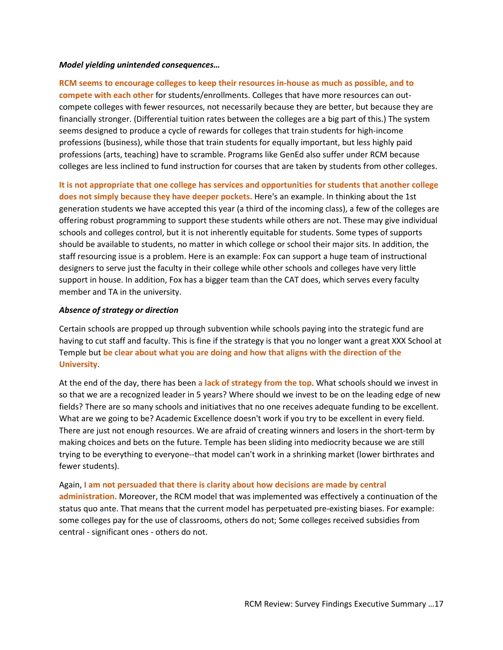#### *Model yielding unintended consequences…*

**RCM seems to encourage colleges to keep their resources in-house as much as possible, and to compete with each other** for students/enrollments. Colleges that have more resources can outcompete colleges with fewer resources, not necessarily because they are better, but because they are financially stronger. (Differential tuition rates between the colleges are a big part of this.) The system seems designed to produce a cycle of rewards for colleges that train students for high-income professions (business), while those that train students for equally important, but less highly paid professions (arts, teaching) have to scramble. Programs like GenEd also suffer under RCM because colleges are less inclined to fund instruction for courses that are taken by students from other colleges.

**It is not appropriate that one college has services and opportunities for students that another college does not simply because they have deeper pockets.** Here's an example. In thinking about the 1st generation students we have accepted this year (a third of the incoming class), a few of the colleges are offering robust programming to support these students while others are not. These may give individual schools and colleges control, but it is not inherently equitable for students. Some types of supports should be available to students, no matter in which college or school their major sits. In addition, the staff resourcing issue is a problem. Here is an example: Fox can support a huge team of instructional designers to serve just the faculty in their college while other schools and colleges have very little support in house. In addition, Fox has a bigger team than the CAT does, which serves every faculty member and TA in the university.

#### *Absence of strategy or direction*

Certain schools are propped up through subvention while schools paying into the strategic fund are having to cut staff and faculty. This is fine if the strategy is that you no longer want a great XXX School at Temple but **be clear about what you are doing and how that aligns with the direction of the University**.

At the end of the day, there has been **a lack of strategy from the top**. What schools should we invest in so that we are a recognized leader in 5 years? Where should we invest to be on the leading edge of new fields? There are so many schools and initiatives that no one receives adequate funding to be excellent. What are we going to be? Academic Excellence doesn't work if you try to be excellent in every field. There are just not enough resources. We are afraid of creating winners and losers in the short-term by making choices and bets on the future. Temple has been sliding into mediocrity because we are still trying to be everything to everyone--that model can't work in a shrinking market (lower birthrates and fewer students).

Again, **I am not persuaded that there is clarity about how decisions are made by central administration.** Moreover, the RCM model that was implemented was effectively a continuation of the status quo ante. That means that the current model has perpetuated pre-existing biases. For example: some colleges pay for the use of classrooms, others do not; Some colleges received subsidies from central - significant ones - others do not.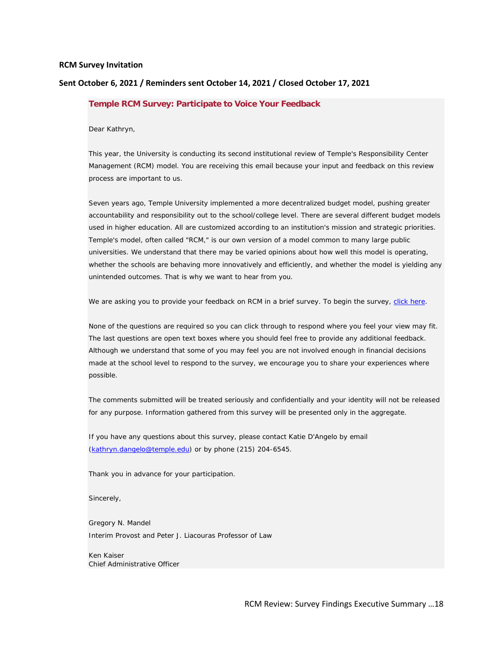#### **RCM Survey Invitation**

#### **Sent October 6, 2021 / Reminders sent October 14, 2021 / Closed October 17, 2021**

#### **Temple RCM Survey: Participate to Voice Your Feedback**

Dear Kathryn,

This year, the University is conducting its second institutional review of Temple's Responsibility Center Management (RCM) model. You are receiving this email because your input and feedback on this review process are important to us.

Seven years ago, Temple University implemented a more decentralized budget model, pushing greater accountability and responsibility out to the school/college level. There are several different budget models used in higher education. All are customized according to an institution's mission and strategic priorities. Temple's model, often called "RCM," is our own version of a model common to many large public universities. We understand that there may be varied opinions about how well this model is operating, whether the schools are behaving more innovatively and efficiently, and whether the model is yielding any unintended outcomes. That is why we want to hear from you.

We are asking you to provide your feedback on RCM in a brief survey. To begin the survey, [click here.](https://nam10.safelinks.protection.outlook.com/?url=https%3A%2F%2Ftempleira.qualtrics.com%2Fjfe%2Fform%2FSV_7O1vfGoOyAfALPM%3FQ_DL%3DnRLwML6AG6kaEjx_7O1vfGoOyAfALPM_MLRP_7TCJHeQQamhgGO2%26Q_CHL%3Dgl&data=04%7C01%7Ckathryn.dangelo%40temple.edu%7Cf2ffdd636e824414e05508d988ef1da3%7C716e81efb52244738e3110bd02ccf6e5%7C0%7C0%7C637691383725987836%7CUnknown%7CTWFpbGZsb3d8eyJWIjoiMC4wLjAwMDAiLCJQIjoiV2luMzIiLCJBTiI6Ik1haWwiLCJXVCI6Mn0%3D%7C3000&sdata=GOaptjmxwhfbFwOMs1I5rwKMyVkAjQ8rsTD6VNS%2BXGg%3D&reserved=0)

None of the questions are required so you can click through to respond where you feel your view may fit. The last questions are open text boxes where you should feel free to provide any additional feedback. Although we understand that some of you may feel you are not involved enough in financial decisions made at the school level to respond to the survey, we encourage you to share your experiences where possible.

The comments submitted will be treated seriously and confidentially and your identity will not be released for any purpose. Information gathered from this survey will be presented only in the aggregate.

If you have any questions about this survey, please contact Katie D'Angelo by email [\(kathryn.dangelo@temple.edu\)](mailto:kathryn.dangelo@temple.edu) or by phone (215) 204-6545.

Thank you in advance for your participation.

Sincerely,

Gregory N. Mandel Interim Provost and Peter J. Liacouras Professor of Law

Ken Kaiser Chief Administrative Officer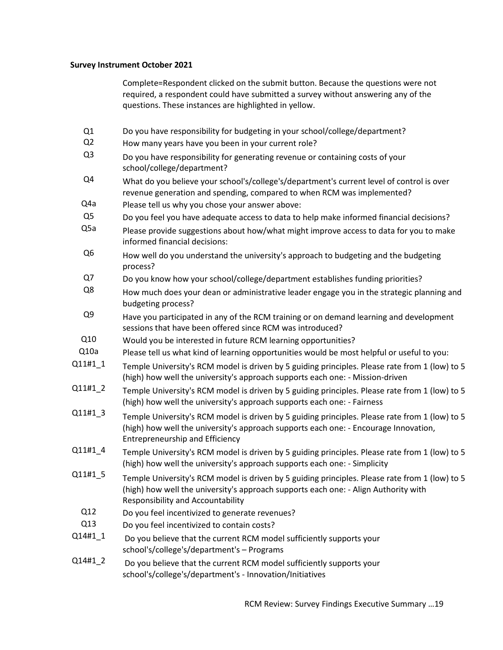#### **Survey Instrument October 2021**

Complete=Respondent clicked on the submit button. Because the questions were not required, a respondent could have submitted a survey without answering any of the questions. These instances are highlighted in yellow.

- Q1 Do you have responsibility for budgeting in your school/college/department?
- Q2 How many years have you been in your current role?
- Q3 Do you have responsibility for generating revenue or containing costs of your school/college/department?
- $Q<sup>4</sup>$  What do you believe your school's/college's/department's current level of control is over revenue generation and spending, compared to when RCM was implemented?
- Q4a Please tell us why you chose your answer above:
- Q5 Do you feel you have adequate access to data to help make informed financial decisions?
- $Q<sub>5a</sub>$  Please provide suggestions about how/what might improve access to data for you to make informed financial decisions:
- $Q6$  How well do you understand the university's approach to budgeting and the budgeting process?
- Q7 Do you know how your school/college/department establishes funding priorities?
- Q8 How much does your dean or administrative leader engage you in the strategic planning and budgeting process?
- $Q<sup>9</sup>$  Have you participated in any of the RCM training or on demand learning and development sessions that have been offered since RCM was introduced?
- Q10 Would you be interested in future RCM learning opportunities?
- Q10a Please tell us what kind of learning opportunities would be most helpful or useful to you:
- $Q11#1\_1$  Temple University's RCM model is driven by 5 guiding principles. Please rate from 1 (low) to 5 (high) how well the university's approach supports each one: - Mission-driven
- Q11#1\_2 Temple University's RCM model is driven by 5 guiding principles. Please rate from 1 (low) to 5 (high) how well the university's approach supports each one: - Fairness
- $Q11#1\_3$  Temple University's RCM model is driven by 5 guiding principles. Please rate from 1 (low) to 5 (high) how well the university's approach supports each one: - Encourage Innovation, Entrepreneurship and Efficiency
- $Q11#1\_4$  Temple University's RCM model is driven by 5 guiding principles. Please rate from 1 (low) to 5 (high) how well the university's approach supports each one: - Simplicity
- $Q11#1\_5$  Temple University's RCM model is driven by 5 guiding principles. Please rate from 1 (low) to 5 (high) how well the university's approach supports each one: - Align Authority with Responsibility and Accountability
	- Q12 Do you feel incentivized to generate revenues?
- Q13 Do you feel incentivized to contain costs?
- $Q14#1\_1$  Do you believe that the current RCM model sufficiently supports your school's/college's/department's – Programs
- $Q14#1<sub>-</sub>2$  Do you believe that the current RCM model sufficiently supports your school's/college's/department's - Innovation/Initiatives